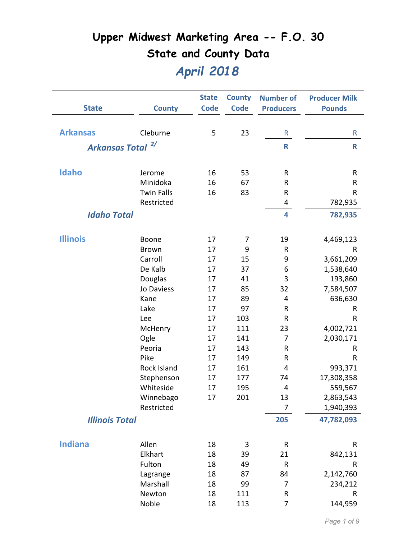| <b>Code</b><br><b>State</b><br><b>County</b><br><b>Code</b><br><b>Producers</b><br><b>Pounds</b><br><b>Arkansas</b><br>23<br>Cleburne<br>5<br>R<br>R<br>2/<br><b>Arkansas Total</b><br>R<br>$\mathsf{R}$<br>Idaho<br>16<br>53<br>R<br>R<br>Jerome<br>Minidoka<br>16<br>67<br>R<br>R |
|-------------------------------------------------------------------------------------------------------------------------------------------------------------------------------------------------------------------------------------------------------------------------------------|
|                                                                                                                                                                                                                                                                                     |
|                                                                                                                                                                                                                                                                                     |
|                                                                                                                                                                                                                                                                                     |
|                                                                                                                                                                                                                                                                                     |
|                                                                                                                                                                                                                                                                                     |
|                                                                                                                                                                                                                                                                                     |
|                                                                                                                                                                                                                                                                                     |
|                                                                                                                                                                                                                                                                                     |
| <b>Twin Falls</b><br>16<br>83<br>${\sf R}$<br>$\mathsf R$                                                                                                                                                                                                                           |
| Restricted<br>782,935<br>4                                                                                                                                                                                                                                                          |
| <b>Idaho Total</b><br>4<br>782,935                                                                                                                                                                                                                                                  |
|                                                                                                                                                                                                                                                                                     |
| <b>Illinois</b><br>17<br>19<br>4,469,123<br>Boone<br>7                                                                                                                                                                                                                              |
| <b>Brown</b><br>17<br>9<br>R<br>R                                                                                                                                                                                                                                                   |
| Carroll<br>15<br>9<br>3,661,209<br>17                                                                                                                                                                                                                                               |
| De Kalb<br>37<br>6<br>17<br>1,538,640                                                                                                                                                                                                                                               |
| Douglas<br>3<br>193,860<br>41<br>17                                                                                                                                                                                                                                                 |
| 32<br>Jo Daviess<br>85<br>7,584,507<br>17                                                                                                                                                                                                                                           |
| 89<br>Kane<br>4<br>636,630<br>17                                                                                                                                                                                                                                                    |
| Lake<br>97<br>$\sf R$<br>17<br>R                                                                                                                                                                                                                                                    |
| 103<br>Lee<br>R<br>R<br>17                                                                                                                                                                                                                                                          |
| 111<br>McHenry<br>23<br>4,002,721<br>17                                                                                                                                                                                                                                             |
| Ogle<br>141<br>17<br>7<br>2,030,171                                                                                                                                                                                                                                                 |
| 143<br>Peoria<br>17<br>R<br>R                                                                                                                                                                                                                                                       |
| Pike<br>149<br>R<br>17<br>R                                                                                                                                                                                                                                                         |
| Rock Island<br>161<br>17<br>4<br>993,371                                                                                                                                                                                                                                            |
| Stephenson<br>17,308,358<br>177<br>74<br>17                                                                                                                                                                                                                                         |
| Whiteside<br>17<br>195<br>4<br>559,567                                                                                                                                                                                                                                              |
| 2,863,543<br>201<br>13<br>Winnebago<br>17                                                                                                                                                                                                                                           |
| Restricted<br>7<br>1,940,393                                                                                                                                                                                                                                                        |
| 205<br><b>Illinois Total</b><br>47,782,093                                                                                                                                                                                                                                          |
|                                                                                                                                                                                                                                                                                     |
| <b>Indiana</b><br>Allen<br>18<br>3<br>R<br>R                                                                                                                                                                                                                                        |
| Elkhart<br>18<br>39<br>21<br>842,131                                                                                                                                                                                                                                                |
| Fulton<br>18<br>49<br>R<br>R                                                                                                                                                                                                                                                        |
| 18<br>87<br>84<br>2,142,760<br>Lagrange                                                                                                                                                                                                                                             |
| Marshall<br>234,212<br>18<br>99<br>7                                                                                                                                                                                                                                                |
| 18<br>${\sf R}$<br>Newton<br>111<br>R                                                                                                                                                                                                                                               |
| Noble<br>18<br>144,959<br>113<br>7                                                                                                                                                                                                                                                  |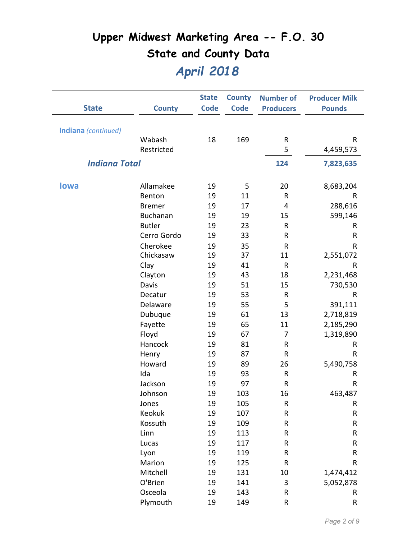| <b>State</b>         | <b>County</b>   | <b>State</b><br><b>Code</b> | <b>County</b><br><b>Code</b> | <b>Number of</b><br><b>Producers</b> | <b>Producer Milk</b><br><b>Pounds</b> |
|----------------------|-----------------|-----------------------------|------------------------------|--------------------------------------|---------------------------------------|
|                      |                 |                             |                              |                                      |                                       |
| Indiana (continued)  |                 |                             |                              |                                      |                                       |
|                      | Wabash          | 18                          | 169                          | R                                    | R                                     |
|                      | Restricted      |                             |                              | 5                                    | 4,459,573                             |
| <b>Indiana Total</b> |                 |                             |                              | 124                                  | 7,823,635                             |
| <b>lowa</b>          | Allamakee       | 19                          | 5                            | 20                                   | 8,683,204                             |
|                      | Benton          | 19                          | 11                           | ${\sf R}$                            | $\mathsf R$                           |
|                      | <b>Bremer</b>   | 19                          | 17                           | 4                                    | 288,616                               |
|                      | <b>Buchanan</b> | 19                          | 19                           | 15                                   | 599,146                               |
|                      | <b>Butler</b>   | 19                          | 23                           | R                                    | R                                     |
|                      | Cerro Gordo     | 19                          | 33                           | R                                    | R                                     |
|                      | Cherokee        | 19                          | 35                           | R                                    | R                                     |
|                      | Chickasaw       | 19                          | 37                           | 11                                   | 2,551,072                             |
|                      | Clay            | 19                          | 41                           | ${\sf R}$                            | $\sf R$                               |
|                      | Clayton         | 19                          | 43                           | 18                                   | 2,231,468                             |
|                      | Davis           | 19                          | 51                           | 15                                   | 730,530                               |
|                      | Decatur         | 19                          | 53                           | R                                    | R                                     |
|                      | Delaware        | 19                          | 55                           | 5                                    | 391,111                               |
|                      | Dubuque         | 19                          | 61                           | 13                                   | 2,718,819                             |
|                      | Fayette         | 19                          | 65                           | 11                                   | 2,185,290                             |
|                      | Floyd           | 19                          | 67                           | 7                                    | 1,319,890                             |
|                      | Hancock         | 19                          | 81                           | R                                    | R                                     |
|                      | Henry           | 19                          | 87                           | R                                    | R                                     |
|                      | Howard          | 19                          | 89                           | 26                                   | 5,490,758                             |
|                      | Ida             | 19                          | 93                           | R                                    | $\sf R$                               |
|                      | Jackson         | 19                          | 97                           | R                                    | R                                     |
|                      | Johnson         | 19                          | 103                          | 16                                   | 463,487                               |
|                      | Jones           | 19                          | 105                          | R                                    | R                                     |
|                      | Keokuk          | 19                          | 107                          | R                                    | R                                     |
|                      | Kossuth         | 19                          | 109                          | R                                    | R                                     |
|                      | Linn            | 19                          | 113                          | R                                    | R                                     |
|                      | Lucas           | 19                          | 117                          | R                                    | R                                     |
|                      | Lyon            | 19                          | 119                          | R                                    | R                                     |
|                      | Marion          | 19                          | 125                          | R                                    | R                                     |
|                      | Mitchell        | 19                          | 131                          | 10                                   | 1,474,412                             |
|                      | O'Brien         | 19                          | 141                          | 3                                    | 5,052,878                             |
|                      | Osceola         | 19                          | 143                          | R                                    | R                                     |
|                      | Plymouth        | 19                          | 149                          | ${\sf R}$                            | R                                     |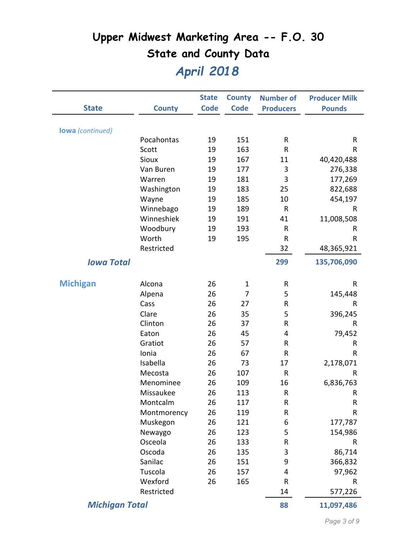|                         |               | <b>State</b> | <b>County</b>  | <b>Number of</b> | <b>Producer Milk</b> |
|-------------------------|---------------|--------------|----------------|------------------|----------------------|
| <b>State</b>            | <b>County</b> | <b>Code</b>  | <b>Code</b>    | <b>Producers</b> | <b>Pounds</b>        |
| <b>lowa</b> (continued) |               |              |                |                  |                      |
|                         | Pocahontas    | 19           | 151            | R                | R                    |
|                         | Scott         | 19           | 163            | R                | R                    |
|                         | Sioux         | 19           | 167            | 11               | 40,420,488           |
|                         | Van Buren     | 19           | 177            | 3                | 276,338              |
|                         | Warren        | 19           | 181            | 3                | 177,269              |
|                         | Washington    | 19           | 183            | 25               | 822,688              |
|                         | Wayne         | 19           | 185            | 10               | 454,197              |
|                         | Winnebago     | 19           | 189            | $\mathsf{R}$     | R                    |
|                         | Winneshiek    | 19           | 191            | 41               | 11,008,508           |
|                         | Woodbury      | 19           | 193            | R                | R                    |
|                         | Worth         | 19           | 195            | $\sf R$          | R                    |
|                         | Restricted    |              |                | 32               | 48,365,921           |
| <b>Iowa Total</b>       |               |              |                | 299              | 135,706,090          |
| <b>Michigan</b>         | Alcona        | 26           | $\mathbf{1}$   | $\mathsf{R}$     | R                    |
|                         | Alpena        | 26           | $\overline{7}$ | 5                | 145,448              |
|                         | Cass          | 26           | 27             | R                | R                    |
|                         | Clare         | 26           | 35             | 5                | 396,245              |
|                         | Clinton       | 26           | 37             | ${\sf R}$        | R                    |
|                         | Eaton         | 26           | 45             | 4                | 79,452               |
|                         | Gratiot       | 26           | 57             | R                | R                    |
|                         | Ionia         | 26           | 67             | R                | R                    |
|                         | Isabella      | 26           | 73             | 17               | 2,178,071            |
|                         | Mecosta       | 26           | 107            | $\mathsf R$      | R                    |
|                         | Menominee     | 26           | 109            | 16               | 6,836,763            |
|                         | Missaukee     | 26           | 113            | ${\sf R}$        | R                    |
|                         | Montcalm      | 26           | 117            | ${\sf R}$        | ${\sf R}$            |
|                         | Montmorency   | 26           | 119            | ${\sf R}$        | ${\sf R}$            |
|                         | Muskegon      | 26           | 121            | 6                | 177,787              |
|                         | Newaygo       | 26           | 123            | 5                | 154,986              |
|                         | Osceola       | 26           | 133            | $\sf R$          | R                    |
|                         | Oscoda        | 26           | 135            | 3                | 86,714               |
|                         | Sanilac       | 26           | 151            | 9                | 366,832              |
|                         | Tuscola       | 26           | 157            | 4                | 97,962               |
|                         | Wexford       | 26           | 165            | R                | R                    |
|                         | Restricted    |              |                | 14               | 577,226              |
| <b>Michigan Total</b>   |               |              |                | 88               | 11,097,486           |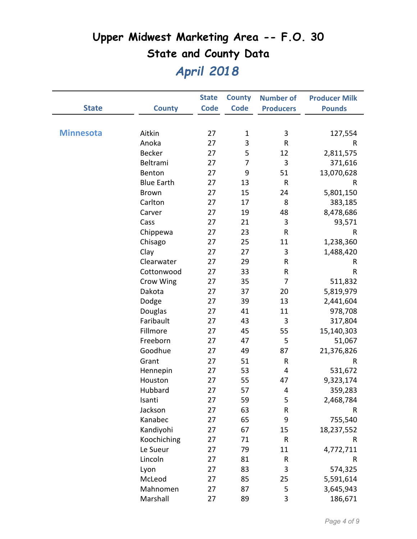|                  |                   | <b>State</b> | <b>County</b>  | <b>Number of</b> | <b>Producer Milk</b> |
|------------------|-------------------|--------------|----------------|------------------|----------------------|
| <b>State</b>     | <b>County</b>     | <b>Code</b>  | <b>Code</b>    | <b>Producers</b> | <b>Pounds</b>        |
|                  |                   |              |                |                  |                      |
| <b>Minnesota</b> | Aitkin            | 27           | $\mathbf 1$    | 3                | 127,554              |
|                  | Anoka             | 27           | 3              | ${\sf R}$        | R                    |
|                  | <b>Becker</b>     | 27           | 5              | 12               | 2,811,575            |
|                  | Beltrami          | 27           | $\overline{7}$ | 3                | 371,616              |
|                  | Benton            | 27           | 9              | 51               | 13,070,628           |
|                  | <b>Blue Earth</b> | 27           | 13             | ${\sf R}$        | R                    |
|                  | <b>Brown</b>      | 27           | 15             | 24               | 5,801,150            |
|                  | Carlton           | 27           | 17             | 8                | 383,185              |
|                  | Carver            | 27           | 19             | 48               | 8,478,686            |
|                  | Cass              | 27           | 21             | $\mathbf{3}$     | 93,571               |
|                  | Chippewa          | 27           | 23             | ${\sf R}$        | R                    |
|                  | Chisago           | 27           | 25             | 11               | 1,238,360            |
|                  | Clay              | 27           | 27             | 3                | 1,488,420            |
|                  | Clearwater        | 27           | 29             | R                | R                    |
|                  | Cottonwood        | 27           | 33             | R                | R                    |
|                  | Crow Wing         | 27           | 35             | 7                | 511,832              |
|                  | Dakota            | 27           | 37             | 20               | 5,819,979            |
|                  | Dodge             | 27           | 39             | 13               | 2,441,604            |
|                  | Douglas           | 27           | 41             | 11               | 978,708              |
|                  | Faribault         | 27           | 43             | 3                | 317,804              |
|                  | Fillmore          | 27           | 45             | 55               | 15,140,303           |
|                  | Freeborn          | 27           | 47             | 5                | 51,067               |
|                  | Goodhue           | 27           | 49             | 87               | 21,376,826           |
|                  | Grant             | 27           | 51             | ${\sf R}$        | R                    |
|                  | Hennepin          | 27           | 53             | 4                | 531,672              |
|                  | Houston           | 27           | 55             | 47               | 9,323,174            |
|                  | Hubbard           | 27           | 57             | 4                | 359,283              |
|                  | Isanti            | 27           | 59             | 5                | 2,468,784            |
|                  | Jackson           | 27           | 63             | ${\sf R}$        | R                    |
|                  | Kanabec           | 27           | 65             | 9                | 755,540              |
|                  | Kandiyohi         | 27           | 67             | 15               | 18,237,552           |
|                  | Koochiching       | 27           | 71             | ${\sf R}$        | R                    |
|                  | Le Sueur          | 27           | 79             | 11               | 4,772,711            |
|                  | Lincoln           | 27           | 81             | R                | R                    |
|                  | Lyon              | 27           | 83             | 3                | 574,325              |
|                  | McLeod            | 27           | 85             | 25               | 5,591,614            |
|                  | Mahnomen          | 27           | 87             | 5                | 3,645,943            |
|                  | Marshall          | 27           | 89             | 3                | 186,671              |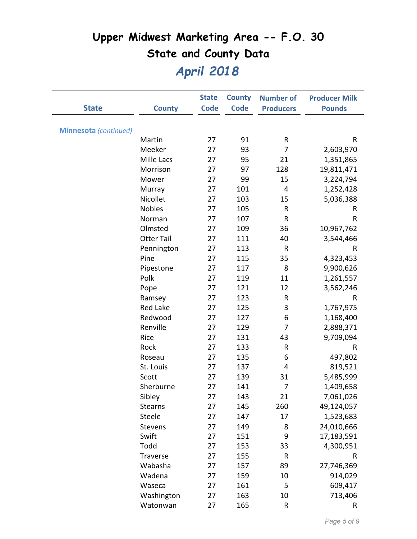|                              |                   | <b>State</b> | <b>County</b> | <b>Number of</b> | <b>Producer Milk</b> |
|------------------------------|-------------------|--------------|---------------|------------------|----------------------|
| <b>State</b>                 | <b>County</b>     | <b>Code</b>  | <b>Code</b>   | <b>Producers</b> | <b>Pounds</b>        |
|                              |                   |              |               |                  |                      |
| <b>Minnesota</b> (continued) |                   |              |               |                  |                      |
|                              | Martin            | 27           | 91            | R                | $\sf R$              |
|                              | Meeker            | 27           | 93            | 7                | 2,603,970            |
|                              | Mille Lacs        | 27           | 95            | 21               | 1,351,865            |
|                              | Morrison          | 27           | 97            | 128              | 19,811,471           |
|                              | Mower             | 27           | 99            | 15               | 3,224,794            |
|                              | Murray            | 27           | 101           | 4                | 1,252,428            |
|                              | Nicollet          | 27           | 103           | 15               | 5,036,388            |
|                              | <b>Nobles</b>     | 27           | 105           | R                | R                    |
|                              | Norman            | 27           | 107           | ${\sf R}$        | R                    |
|                              | Olmsted           | 27           | 109           | 36               | 10,967,762           |
|                              | <b>Otter Tail</b> | 27           | 111           | 40               | 3,544,466            |
|                              | Pennington        | 27           | 113           | $\mathsf{R}$     | R                    |
|                              | Pine              | 27           | 115           | 35               | 4,323,453            |
|                              | Pipestone         | 27           | 117           | 8                | 9,900,626            |
|                              | Polk              | 27           | 119           | 11               | 1,261,557            |
|                              | Pope              | 27           | 121           | 12               | 3,562,246            |
|                              | Ramsey            | 27           | 123           | ${\sf R}$        | R                    |
|                              | <b>Red Lake</b>   | 27           | 125           | 3                | 1,767,975            |
|                              | Redwood           | 27           | 127           | 6                | 1,168,400            |
|                              | Renville          | 27           | 129           | $\overline{7}$   | 2,888,371            |
|                              | Rice              | 27           | 131           | 43               | 9,709,094            |
|                              | Rock              | 27           | 133           | ${\sf R}$        | $\sf R$              |
|                              | Roseau            | 27           | 135           | 6                | 497,802              |
|                              | St. Louis         | 27           | 137           | 4                | 819,521              |
|                              | Scott             | 27           | 139           | 31               | 5,485,999            |
|                              | Sherburne         | 27           | 141           | 7                | 1,409,658            |
|                              | Sibley            | 27           | 143           | 21               | 7,061,026            |
|                              | Stearns           | 27           | 145           | 260              | 49,124,057           |
|                              | Steele            | 27           | 147           | 17               | 1,523,683            |
|                              | Stevens           | 27           | 149           | 8                | 24,010,666           |
|                              | Swift             | 27           | 151           | 9                | 17,183,591           |
|                              | Todd              | 27           | 153           | 33               | 4,300,951            |
|                              | <b>Traverse</b>   | 27           | 155           | ${\sf R}$        | R                    |
|                              | Wabasha           | 27           | 157           | 89               | 27,746,369           |
|                              | Wadena            | 27           | 159           | 10               | 914,029              |
|                              | Waseca            | 27           | 161           | 5                | 609,417              |
|                              | Washington        | 27           | 163           | 10               | 713,406              |
|                              | Watonwan          | 27           | 165           | R                | R                    |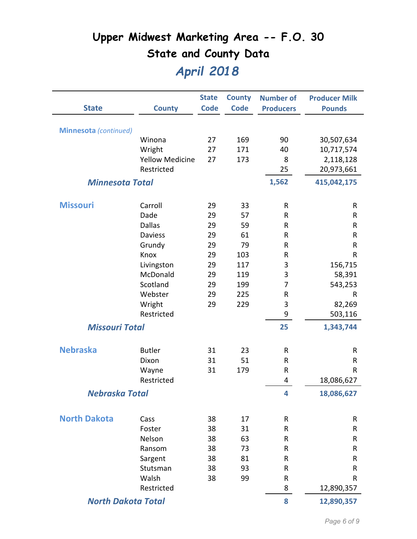|                              |                        | <b>State</b> | <b>County</b> | <b>Number of</b> | <b>Producer Milk</b> |
|------------------------------|------------------------|--------------|---------------|------------------|----------------------|
| <b>State</b>                 | <b>County</b>          | <b>Code</b>  | <b>Code</b>   | <b>Producers</b> | <b>Pounds</b>        |
|                              |                        |              |               |                  |                      |
| <b>Minnesota</b> (continued) |                        |              |               |                  |                      |
|                              | Winona                 | 27           | 169           | 90               | 30,507,634           |
|                              | Wright                 | 27           | 171           | 40               | 10,717,574           |
|                              | <b>Yellow Medicine</b> | 27           | 173           | 8                | 2,118,128            |
|                              | Restricted             |              |               | 25               | 20,973,661           |
| <b>Minnesota Total</b>       |                        |              |               | 1,562            | 415,042,175          |
| <b>Missouri</b>              | Carroll                | 29           | 33            | $\mathsf{R}$     | R                    |
|                              | Dade                   | 29           | 57            | R                | R                    |
|                              | <b>Dallas</b>          | 29           | 59            | ${\sf R}$        | ${\sf R}$            |
|                              | <b>Daviess</b>         | 29           | 61            | R                | R                    |
|                              | Grundy                 | 29           | 79            | $\mathsf{R}$     | ${\sf R}$            |
|                              | Knox                   | 29           | 103           | R                | $\sf R$              |
|                              | Livingston             | 29           | 117           | 3                | 156,715              |
|                              | McDonald               | 29           | 119           | 3                | 58,391               |
|                              | Scotland               | 29           | 199           | 7                | 543,253              |
|                              | Webster                | 29           | 225           | R                | R                    |
|                              | Wright                 | 29           | 229           | 3                | 82,269               |
|                              | Restricted             |              |               | 9                | 503,116              |
| <b>Missouri Total</b>        |                        |              |               | 25               | 1,343,744            |
| <b>Nebraska</b>              |                        |              |               |                  |                      |
|                              | <b>Butler</b>          | 31           | 23            | ${\sf R}$        | $\mathsf R$          |
|                              | Dixon                  | 31           | 51            | $\mathsf{R}$     | R                    |
|                              | Wayne                  | 31           | 179           | R                | R                    |
|                              | Restricted             |              |               | 4                | 18,086,627           |
| Nebraska Total               |                        |              |               | 4                | 18,086,627           |
| <b>North Dakota</b>          | Cass                   | 38           | 17            | ${\sf R}$        | R                    |
|                              | Foster                 | 38           | 31            | $\mathsf{R}$     | R                    |
|                              | Nelson                 | 38           | 63            | R                | R                    |
|                              | Ransom                 | 38           | 73            | R                | R                    |
|                              | Sargent                | 38           | 81            | ${\sf R}$        | ${\sf R}$            |
|                              | Stutsman               | 38           | 93            | R                | R                    |
|                              | Walsh                  | 38           | 99            | $\mathsf{R}$     | R                    |
|                              | Restricted             |              |               | 8                | 12,890,357           |
| <b>North Dakota Total</b>    |                        |              |               | 8                | 12,890,357           |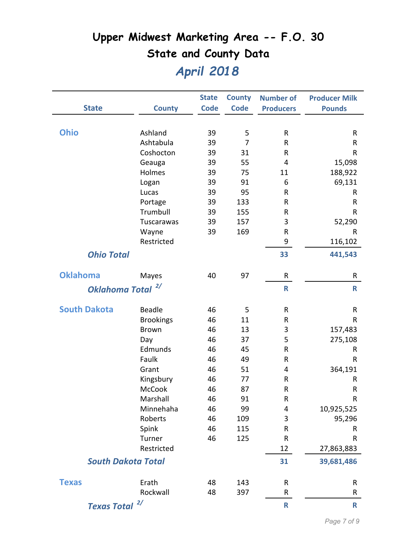|                              |                           | <b>State</b> | <b>County</b>  | <b>Number of</b> | <b>Producer Milk</b> |
|------------------------------|---------------------------|--------------|----------------|------------------|----------------------|
| <b>State</b>                 | <b>County</b>             | <b>Code</b>  | <b>Code</b>    | <b>Producers</b> | <b>Pounds</b>        |
| <b>Ohio</b>                  | Ashland                   | 39           | 5              | $\mathsf{R}$     | R                    |
|                              | Ashtabula                 | 39           | $\overline{7}$ | $\mathsf R$      | R                    |
|                              | Coshocton                 | 39           | 31             | R                | R                    |
|                              | Geauga                    | 39           | 55             | 4                | 15,098               |
|                              | Holmes                    | 39           | 75             | 11               | 188,922              |
|                              | Logan                     | 39           | 91             | 6                | 69,131               |
|                              | Lucas                     | 39           | 95             | $\sf R$          | R                    |
|                              | Portage                   | 39           | 133            | R                | R                    |
|                              | Trumbull                  | 39           | 155            | ${\sf R}$        | R                    |
|                              | Tuscarawas                | 39           | 157            | 3                | 52,290               |
|                              | Wayne                     | 39           | 169            | R                | R                    |
|                              | Restricted                |              |                | 9                | 116,102              |
| <b>Ohio Total</b>            |                           |              |                | 33               | 441,543              |
| <b>Oklahoma</b>              | Mayes                     | 40           | 97             | R                | R                    |
| Oklahoma Total <sup>2/</sup> |                           |              |                | $\mathbf R$      | $\mathsf{R}$         |
| <b>South Dakota</b>          | <b>Beadle</b>             | 46           | 5              | ${\sf R}$        | R                    |
|                              | <b>Brookings</b>          | 46           | 11             | R                | R                    |
|                              | <b>Brown</b>              | 46           | 13             | 3                | 157,483              |
|                              | Day                       | 46           | 37             | 5                | 275,108              |
|                              | Edmunds                   | 46           | 45             | R                | R                    |
|                              | Faulk                     | 46           | 49             | R                | R                    |
|                              | Grant                     | 46           | 51             | 4                | 364,191              |
|                              | Kingsbury                 | 46           | 77             | R                | R                    |
|                              | <b>McCook</b>             | 46           | 87             | $\mathsf{R}$     | $\sf R$              |
|                              | Marshall                  | 46           | 91             | ${\sf R}$        | R                    |
|                              | Minnehaha                 | 46           | 99             | 4                | 10,925,525           |
|                              | Roberts                   | 46           | 109            | 3                | 95,296               |
|                              | Spink                     | 46           | 115            | $\mathsf R$      | R                    |
|                              | Turner                    | 46           | 125            | $\sf R$          | R                    |
|                              | Restricted                |              |                | 12               | 27,863,883           |
|                              | <b>South Dakota Total</b> |              |                | 31               | 39,681,486           |
| <b>Texas</b>                 | Erath                     | 48           | 143            | R                | R                    |
|                              | Rockwall                  | 48           | 397            | R                | R                    |
| <b>Texas Total</b>           | 2/                        |              |                | $\mathbf R$      | $\mathsf{R}$         |
|                              |                           |              |                |                  |                      |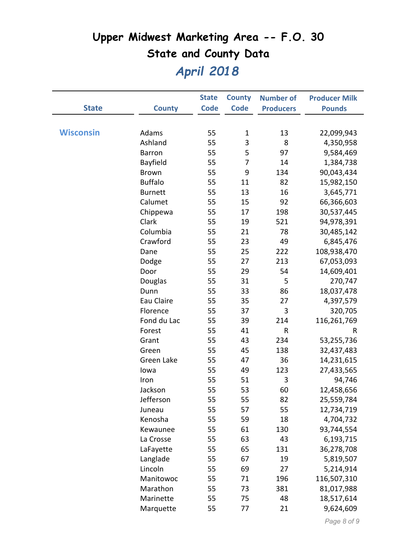|                  |                | <b>State</b> | <b>County</b> | <b>Number of</b> | <b>Producer Milk</b> |
|------------------|----------------|--------------|---------------|------------------|----------------------|
| <b>State</b>     | <b>County</b>  | <b>Code</b>  | <b>Code</b>   | <b>Producers</b> | <b>Pounds</b>        |
|                  |                |              |               |                  |                      |
| <b>Wisconsin</b> | Adams          | 55           | $\mathbf{1}$  | 13               | 22,099,943           |
|                  | Ashland        | 55           | 3             | 8                | 4,350,958            |
|                  | <b>Barron</b>  | 55           | 5             | 97               | 9,584,469            |
|                  | Bayfield       | 55           | 7             | 14               | 1,384,738            |
|                  | <b>Brown</b>   | 55           | 9             | 134              | 90,043,434           |
|                  | <b>Buffalo</b> | 55           | 11            | 82               | 15,982,150           |
|                  | <b>Burnett</b> | 55           | 13            | 16               | 3,645,771            |
|                  | Calumet        | 55           | 15            | 92               | 66,366,603           |
|                  | Chippewa       | 55           | 17            | 198              | 30,537,445           |
|                  | Clark          | 55           | 19            | 521              | 94,978,391           |
|                  | Columbia       | 55           | 21            | 78               | 30,485,142           |
|                  | Crawford       | 55           | 23            | 49               | 6,845,476            |
|                  | Dane           | 55           | 25            | 222              | 108,938,470          |
|                  | Dodge          | 55           | 27            | 213              | 67,053,093           |
|                  | Door           | 55           | 29            | 54               | 14,609,401           |
|                  | Douglas        | 55           | 31            | 5                | 270,747              |
|                  | Dunn           | 55           | 33            | 86               | 18,037,478           |
|                  | Eau Claire     | 55           | 35            | 27               | 4,397,579            |
|                  | Florence       | 55           | 37            | 3                | 320,705              |
|                  | Fond du Lac    | 55           | 39            | 214              | 116,261,769          |
|                  | Forest         | 55           | 41            | $\sf R$          | R                    |
|                  | Grant          | 55           | 43            | 234              | 53,255,736           |
|                  | Green          | 55           | 45            | 138              | 32,437,483           |
|                  | Green Lake     | 55           | 47            | 36               | 14,231,615           |
|                  | lowa           | 55           | 49            | 123              | 27,433,565           |
|                  | Iron           | 55           | 51            | 3                | 94,746               |
|                  | Jackson        | 55           | 53            | 60               | 12,458,656           |
|                  | Jefferson      | 55           | 55            | 82               | 25,559,784           |
|                  | Juneau         | 55           | 57            | 55               | 12,734,719           |
|                  | Kenosha        | 55           | 59            | 18               | 4,704,732            |
|                  | Kewaunee       | 55           | 61            | 130              | 93,744,554           |
|                  | La Crosse      | 55           | 63            | 43               | 6,193,715            |
|                  | LaFayette      | 55           | 65            | 131              | 36,278,708           |
|                  | Langlade       | 55           | 67            | 19               | 5,819,507            |
|                  | Lincoln        | 55           | 69            | 27               | 5,214,914            |
|                  | Manitowoc      | 55           | 71            | 196              | 116,507,310          |
|                  | Marathon       | 55           | 73            | 381              | 81,017,988           |
|                  | Marinette      | 55           | 75            | 48               | 18,517,614           |
|                  | Marquette      | 55           | 77            | 21               | 9,624,609            |